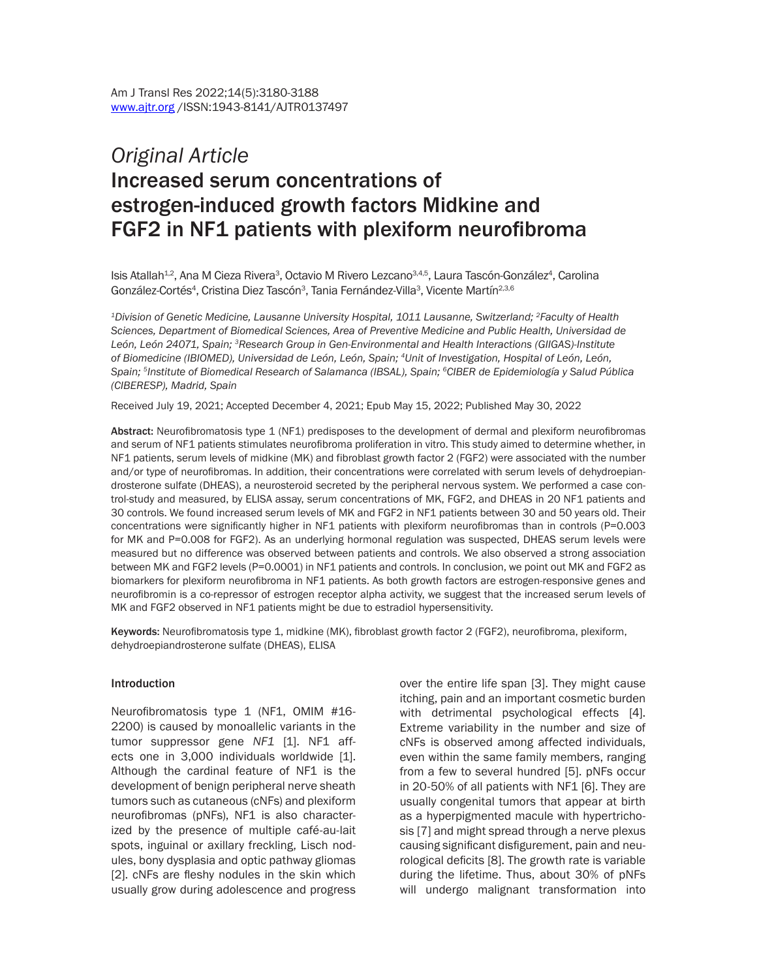# *Original Article* Increased serum concentrations of estrogen-induced growth factors Midkine and FGF2 in NF1 patients with plexiform neurofibroma

lsis Atallah<sup>1,2</sup>, Ana M Cieza Rivera<sup>3</sup>, Octavio M Rivero Lezcano<sup>3,4,5</sup>, Laura Tascón-González<sup>4</sup>, Carolina González-Cortés<sup>4</sup>, Cristina Diez Tascón<sup>3</sup>, Tania Fernández-Villa<sup>3</sup>, Vicente Martín<sup>2,3,6</sup>

*1Division of Genetic Medicine, Lausanne University Hospital, 1011 Lausanne, Switzerland; 2Faculty of Health Sciences, Department of Biomedical Sciences, Area of Preventive Medicine and Public Health, Universidad de León, León 24071, Spain; 3Research Group in Gen-Environmental and Health Interactions (GIIGAS)-Institute of Biomedicine (IBIOMED), Universidad de León, León, Spain; 4Unit of Investigation, Hospital of León, León, Spain; 5Institute of Biomedical Research of Salamanca (IBSAL), Spain; 6CIBER de Epidemiología y Salud Pública (CIBERESP), Madrid, Spain*

Received July 19, 2021; Accepted December 4, 2021; Epub May 15, 2022; Published May 30, 2022

Abstract: Neurofibromatosis type 1 (NF1) predisposes to the development of dermal and plexiform neurofibromas and serum of NF1 patients stimulates neurofibroma proliferation in vitro. This study aimed to determine whether, in NF1 patients, serum levels of midkine (MK) and fibroblast growth factor 2 (FGF2) were associated with the number and/or type of neurofibromas. In addition, their concentrations were correlated with serum levels of dehydroepiandrosterone sulfate (DHEAS), a neurosteroid secreted by the peripheral nervous system. We performed a case control-study and measured, by ELISA assay, serum concentrations of MK, FGF2, and DHEAS in 20 NF1 patients and 30 controls. We found increased serum levels of MK and FGF2 in NF1 patients between 30 and 50 years old. Their concentrations were significantly higher in NF1 patients with plexiform neurofibromas than in controls (P=0.003 for MK and P=0.008 for FGF2). As an underlying hormonal regulation was suspected, DHEAS serum levels were measured but no difference was observed between patients and controls. We also observed a strong association between MK and FGF2 levels (P=0.0001) in NF1 patients and controls. In conclusion, we point out MK and FGF2 as biomarkers for plexiform neurofibroma in NF1 patients. As both growth factors are estrogen-responsive genes and neurofibromin is a co-repressor of estrogen receptor alpha activity, we suggest that the increased serum levels of MK and FGF2 observed in NF1 patients might be due to estradiol hypersensitivity.

Keywords: Neurofibromatosis type 1, midkine (MK), fibroblast growth factor 2 (FGF2), neurofibroma, plexiform, dehydroepiandrosterone sulfate (DHEAS), ELISA

#### Introduction

Neurofibromatosis type 1 (NF1, OMIM #16- 2200) is caused by monoallelic variants in the tumor suppressor gene *NF1* [1]. NF1 affects one in 3,000 individuals worldwide [1]. Although the cardinal feature of NF1 is the development of benign peripheral nerve sheath tumors such as cutaneous (cNFs) and plexiform neurofibromas (pNFs), NF1 is also characterized by the presence of multiple café-au-lait spots, inguinal or axillary freckling, Lisch nodules, bony dysplasia and optic pathway gliomas [2]. cNFs are fleshy nodules in the skin which usually grow during adolescence and progress

over the entire life span [3]. They might cause itching, pain and an important cosmetic burden with detrimental psychological effects [4]. Extreme variability in the number and size of cNFs is observed among affected individuals, even within the same family members, ranging from a few to several hundred [5]. pNFs occur in 20-50% of all patients with NF1 [6]. They are usually congenital tumors that appear at birth as a hyperpigmented macule with hypertrichosis [7] and might spread through a nerve plexus causing significant disfigurement, pain and neurological deficits [8]. The growth rate is variable during the lifetime. Thus, about 30% of pNFs will undergo malignant transformation into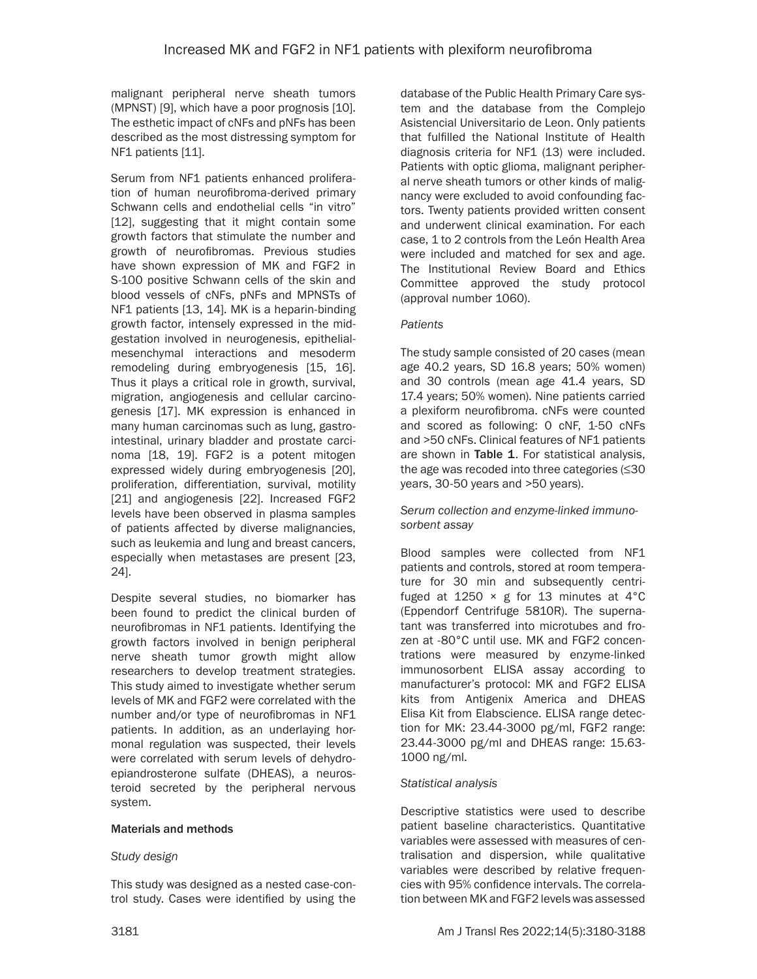malignant peripheral nerve sheath tumors (MPNST) [9], which have a poor prognosis [10]. The esthetic impact of cNFs and pNFs has been described as the most distressing symptom for NF1 patients [11].

Serum from NF1 patients enhanced proliferation of human neurofibroma-derived primary Schwann cells and endothelial cells "in vitro" [12], suggesting that it might contain some growth factors that stimulate the number and growth of neurofibromas. Previous studies have shown expression of MK and FGF2 in S-100 positive Schwann cells of the skin and blood vessels of cNFs, pNFs and MPNSTs of NF1 patients [13, 14]. MK is a heparin-binding growth factor, intensely expressed in the midgestation involved in neurogenesis, epithelialmesenchymal interactions and mesoderm remodeling during embryogenesis [15, 16]. Thus it plays a critical role in growth, survival, migration, angiogenesis and cellular carcinogenesis [17]. MK expression is enhanced in many human carcinomas such as lung, gastrointestinal, urinary bladder and prostate carcinoma [18, 19]. FGF2 is a potent mitogen expressed widely during embryogenesis [20], proliferation, differentiation, survival, motility [21] and angiogenesis [22]. Increased FGF2 levels have been observed in plasma samples of patients affected by diverse malignancies, such as leukemia and lung and breast cancers, especially when metastases are present [23, 24].

Despite several studies, no biomarker has been found to predict the clinical burden of neurofibromas in NF1 patients. Identifying the growth factors involved in benign peripheral nerve sheath tumor growth might allow researchers to develop treatment strategies. This study aimed to investigate whether serum levels of MK and FGF2 were correlated with the number and/or type of neurofibromas in NF1 patients. In addition, as an underlaying hormonal regulation was suspected, their levels were correlated with serum levels of dehydroepiandrosterone sulfate (DHEAS), a neurosteroid secreted by the peripheral nervous system.

## Materials and methods

## *Study design*

This study was designed as a nested case-control study. Cases were identified by using the database of the Public Health Primary Care system and the database from the Complejo Asistencial Universitario de Leon. Only patients that fulfilled the National Institute of Health diagnosis criteria for NF1 (13) were included. Patients with optic glioma, malignant peripheral nerve sheath tumors or other kinds of malignancy were excluded to avoid confounding factors. Twenty patients provided written consent and underwent clinical examination. For each case, 1 to 2 controls from the León Health Area were included and matched for sex and age. The Institutional Review Board and Ethics Committee approved the study protocol (approval number 1060).

## *Patients*

The study sample consisted of 20 cases (mean age 40.2 years, SD 16.8 years; 50% women) and 30 controls (mean age 41.4 years, SD 17.4 years; 50% women). Nine patients carried a plexiform neurofibroma. cNFs were counted and scored as following: 0 cNF, 1-50 cNFs and >50 cNFs. Clinical features of NF1 patients are shown in Table 1. For statistical analysis, the age was recoded into three categories (≤30 years, 30-50 years and >50 years).

#### *Serum collection and enzyme-linked immunosorbent assay*

Blood samples were collected from NF1 patients and controls, stored at room temperature for 30 min and subsequently centrifuged at  $1250 \times g$  for 13 minutes at 4°C (Eppendorf Centrifuge 5810R). The supernatant was transferred into microtubes and frozen at -80°C until use. MK and FGF2 concentrations were measured by enzyme-linked immunosorbent ELISA assay according to manufacturer's protocol: MK and FGF2 ELISA kits from Antigenix America and DHEAS Elisa Kit from Elabscience. ELISA range detection for MK: 23.44-3000 pg/ml, FGF2 range: 23.44-3000 pg/ml and DHEAS range: 15.63- 1000 ng/ml.

#### *Statistical analysis*

Descriptive statistics were used to describe patient baseline characteristics. Quantitative variables were assessed with measures of centralisation and dispersion, while qualitative variables were described by relative frequencies with 95% confidence intervals. The correlation between MK and FGF2 levels was assessed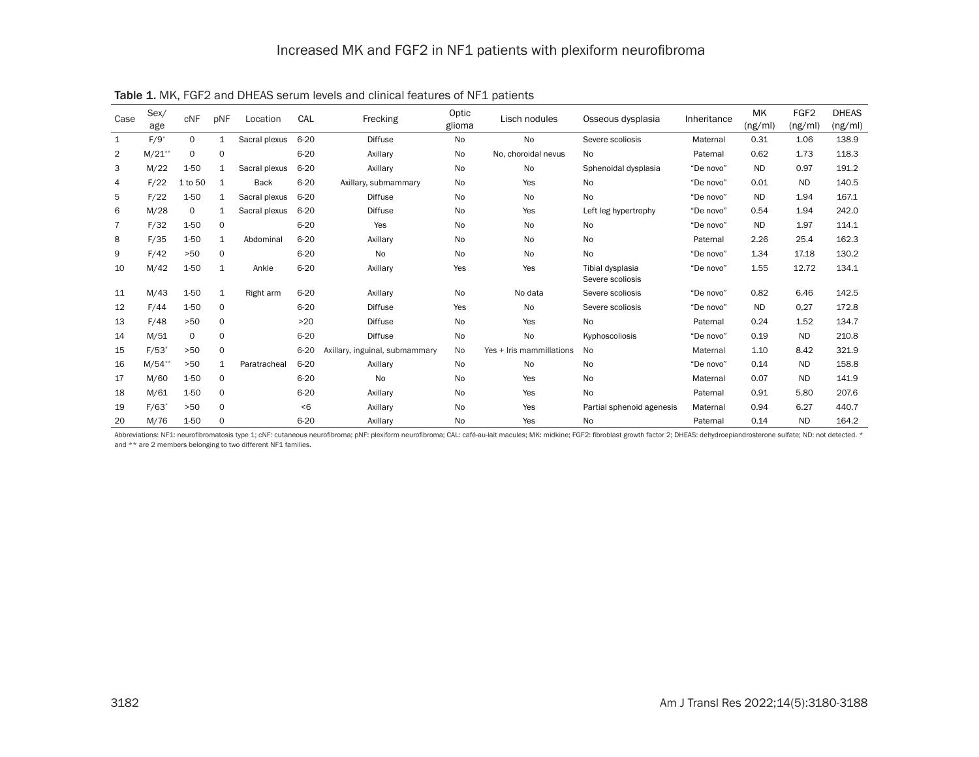| Case           | Sex/<br>age        | cNF      | pNF          | Location      | CAL      | Frecking                       | Optic<br>glioma | Lisch nodules            | Osseous dysplasia                    | Inheritance | <b>MK</b><br>(ng/ml) | FGF <sub>2</sub><br>(ng/ml) | <b>DHEAS</b><br>(ng/ml) |
|----------------|--------------------|----------|--------------|---------------|----------|--------------------------------|-----------------|--------------------------|--------------------------------------|-------------|----------------------|-----------------------------|-------------------------|
| $\mathbf{1}$   | $F/9$ <sup>*</sup> | $\Omega$ | $\mathbf{1}$ | Sacral plexus | $6 - 20$ | <b>Diffuse</b>                 | No              | No                       | Severe scoliosis                     | Maternal    | 0.31                 | 1.06                        | 138.9                   |
| $\overline{2}$ | $M/21**$           | 0        | 0            |               | $6 - 20$ | Axillary                       | No              | No, choroidal nevus      | No.                                  | Paternal    | 0.62                 | 1.73                        | 118.3                   |
| 3              | M/22               | 1-50     | 1            | Sacral plexus | $6 - 20$ | Axillary                       | No              | No                       | Sphenoidal dysplasia                 | "De novo"   | <b>ND</b>            | 0.97                        | 191.2                   |
| 4              | F/22               | 1 to 50  | 1            | Back          | $6 - 20$ | Axillary, submammary           | No              | Yes                      | No                                   | "De novo"   | 0.01                 | <b>ND</b>                   | 140.5                   |
| 5              | F/22               | 1-50     | 1            | Sacral plexus | $6 - 20$ | <b>Diffuse</b>                 | No              | <b>No</b>                | No                                   | "De novo"   | <b>ND</b>            | 1.94                        | 167.1                   |
| 6              | M/28               | 0        | 1            | Sacral plexus | $6 - 20$ | <b>Diffuse</b>                 | <b>No</b>       | Yes                      | Left leg hypertrophy                 | "De novo"   | 0.54                 | 1.94                        | 242.0                   |
| $\overline{7}$ | F/32               | 1-50     | 0            |               | $6 - 20$ | Yes                            | No              | <b>No</b>                | No                                   | "De novo"   | <b>ND</b>            | 1.97                        | 114.1                   |
| 8              | F/35               | $1 - 50$ | 1            | Abdominal     | $6 - 20$ | Axillary                       | <b>No</b>       | <b>No</b>                | No                                   | Paternal    | 2.26                 | 25.4                        | 162.3                   |
| 9              | F/42               | $>50$    | 0            |               | $6 - 20$ | No                             | <b>No</b>       | <b>No</b>                | <b>No</b>                            | "De novo"   | 1.34                 | 17.18                       | 130.2                   |
| 10             | M/42               | 1-50     | 1            | Ankle         | $6 - 20$ | Axillary                       | Yes             | Yes                      | Tibial dysplasia<br>Severe scoliosis | "De novo"   | 1.55                 | 12.72                       | 134.1                   |
| 11             | M/43               | $1 - 50$ | $\mathbf{1}$ | Right arm     | $6 - 20$ | Axillary                       | <b>No</b>       | No data                  | Severe scoliosis                     | "De novo"   | 0.82                 | 6.46                        | 142.5                   |
| 12             | F/44               | 1-50     | 0            |               | $6 - 20$ | <b>Diffuse</b>                 | Yes             | No                       | Severe scoliosis                     | "De novo"   | <b>ND</b>            | 0,27                        | 172.8                   |
| 13             | F/48               | >50      | 0            |               | >20      | <b>Diffuse</b>                 | <b>No</b>       | Yes                      | No                                   | Paternal    | 0.24                 | 1.52                        | 134.7                   |
| 14             | M/51               | 0        | $\Omega$     |               | $6 - 20$ | <b>Diffuse</b>                 | No              | No                       | Kyphoscoliosis                       | "De novo"   | 0.19                 | <b>ND</b>                   | 210.8                   |
| 15             | $F/53*$            | $>50$    | 0            |               | $6 - 20$ | Axillary, inguinal, submammary | No              | Yes + Iris mammillations | <b>No</b>                            | Maternal    | 1.10                 | 8.42                        | 321.9                   |
| 16             | $M/54$ *           | >50      | $\mathbf{1}$ | Paratracheal  | $6 - 20$ | Axillary                       | No              | No                       | No                                   | "De novo"   | 0.14                 | <b>ND</b>                   | 158.8                   |
| 17             | M/60               | 1-50     | 0            |               | $6 - 20$ | No                             | No              | Yes                      | <b>No</b>                            | Maternal    | 0.07                 | <b>ND</b>                   | 141.9                   |
| 18             | M/61               | 1-50     | 0            |               | $6 - 20$ | Axillary                       | <b>No</b>       | Yes                      | No                                   | Paternal    | 0.91                 | 5.80                        | 207.6                   |
| 19             | $F/63*$            | >50      | 0            |               | < 6      | Axillary                       | No              | Yes                      | Partial sphenoid agenesis            | Maternal    | 0.94                 | 6.27                        | 440.7                   |
| 20             | M/76               | 1-50     | 0            |               | $6 - 20$ | Axillary                       | No              | Yes                      | No                                   | Paternal    | 0.14                 | <b>ND</b>                   | 164.2                   |

Table 1. MK, FGF2 and DHEAS serum levels and clinical features of NF1 patients

Abbreviations: NF1: neurofibromatosis type 1; cNF: cutaneous neurofibroma; pNF: plexiform neurofibroma; CAL: café-au-lait macules; MK: midkine; FGF2: fibroblast growth factor 2; DHEAS: dehydroepiandrosterone sulfate; ND: n and \*\* are 2 members belonging to two different NF1 families.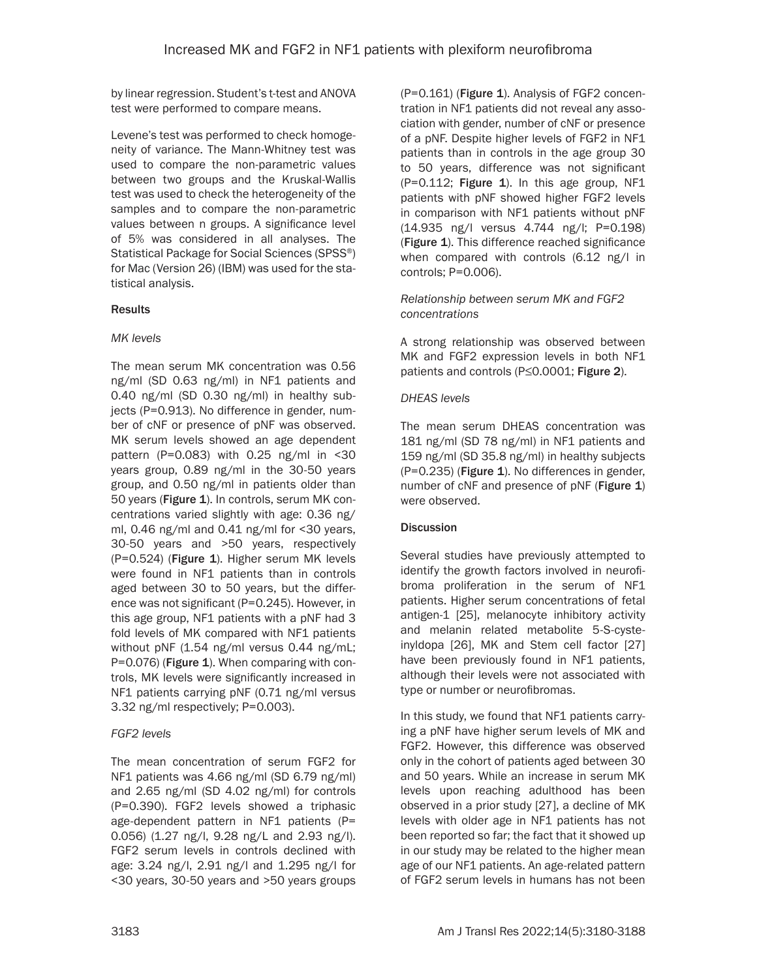by linear regression. Student's t-test and ANOVA test were performed to compare means.

Levene's test was performed to check homogeneity of variance. The Mann-Whitney test was used to compare the non-parametric values between two groups and the Kruskal-Wallis test was used to check the heterogeneity of the samples and to compare the non-parametric values between n groups. A significance level of 5% was considered in all analyses. The Statistical Package for Social Sciences (SPSS®) for Mac (Version 26) (IBM) was used for the statistical analysis.

## Results

#### *MK levels*

The mean serum MK concentration was 0.56 ng/ml (SD 0.63 ng/ml) in NF1 patients and 0.40 ng/ml (SD 0.30 ng/ml) in healthy subjects (P=0.913). No difference in gender, number of cNF or presence of pNF was observed. MK serum levels showed an age dependent pattern (P=0.083) with  $0.25$  ng/ml in <30 years group, 0.89 ng/ml in the 30-50 years group, and 0.50 ng/ml in patients older than 50 years (Figure 1). In controls, serum MK concentrations varied slightly with age: 0.36 ng/ ml, 0.46 ng/ml and 0.41 ng/ml for <30 years, 30-50 years and >50 years, respectively (P=0.524) (Figure 1). Higher serum MK levels were found in NF1 patients than in controls aged between 30 to 50 years, but the difference was not significant (P=0.245). However, in this age group, NF1 patients with a pNF had 3 fold levels of MK compared with NF1 patients without pNF (1.54 ng/ml versus 0.44 ng/mL; P=0.076) (Figure 1). When comparing with controls, MK levels were significantly increased in NF1 patients carrying pNF (0.71 ng/ml versus 3.32 ng/ml respectively; P=0.003).

## *FGF2 levels*

The mean concentration of serum FGF2 for NF1 patients was 4.66 ng/ml (SD 6.79 ng/ml) and 2.65 ng/ml (SD 4.02 ng/ml) for controls (P=0.390). FGF2 levels showed a triphasic age-dependent pattern in NF1 patients (P= 0.056) (1.27 ng/l, 9.28 ng/L and 2.93 ng/l). FGF2 serum levels in controls declined with age: 3.24 ng/l, 2.91 ng/l and 1.295 ng/l for <30 years, 30-50 years and >50 years groups (P=0.161) (Figure 1). Analysis of FGF2 concentration in NF1 patients did not reveal any association with gender, number of cNF or presence of a pNF. Despite higher levels of FGF2 in NF1 patients than in controls in the age group 30 to 50 years, difference was not significant (P=0.112; Figure 1). In this age group, NF1 patients with pNF showed higher FGF2 levels in comparison with NF1 patients without pNF (14.935 ng/l versus 4.744 ng/l; P=0.198) (Figure 1). This difference reached significance when compared with controls (6.12 ng/l in controls; P=0.006).

### *Relationship between serum MK and FGF2 concentrations*

A strong relationship was observed between MK and FGF2 expression levels in both NF1 patients and controls (P≤0.0001; Figure 2).

#### *DHEAS levels*

The mean serum DHEAS concentration was 181 ng/ml (SD 78 ng/ml) in NF1 patients and 159 ng/ml (SD 35.8 ng/ml) in healthy subjects (P=0.235) (Figure 1). No differences in gender, number of cNF and presence of pNF (Figure 1) were observed.

## **Discussion**

Several studies have previously attempted to identify the growth factors involved in neurofibroma proliferation in the serum of NF1 patients. Higher serum concentrations of fetal antigen-1 [25], melanocyte inhibitory activity and melanin related metabolite 5-S-cysteinyldopa [26], MK and Stem cell factor [27] have been previously found in NF1 patients, although their levels were not associated with type or number or neurofibromas.

In this study, we found that NF1 patients carrying a pNF have higher serum levels of MK and FGF2. However, this difference was observed only in the cohort of patients aged between 30 and 50 years. While an increase in serum MK levels upon reaching adulthood has been observed in a prior study [27], a decline of MK levels with older age in NF1 patients has not been reported so far; the fact that it showed up in our study may be related to the higher mean age of our NF1 patients. An age-related pattern of FGF2 serum levels in humans has not been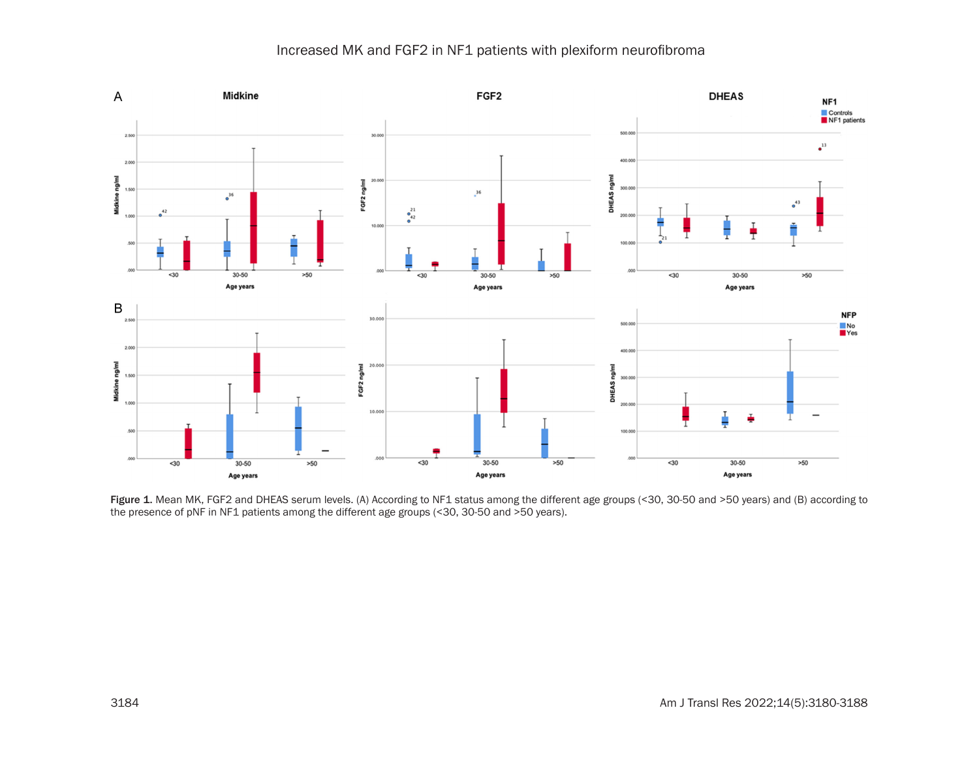# Increased MK and FGF2 in NF1 patients with plexiform neurofibroma



Figure 1. Mean MK, FGF2 and DHEAS serum levels. (A) According to NF1 status among the different age groups (<30, 30-50 and >50 years) and (B) according to the presence of pNF in NF1 patients among the different age groups (<30, 30-50 and >50 years).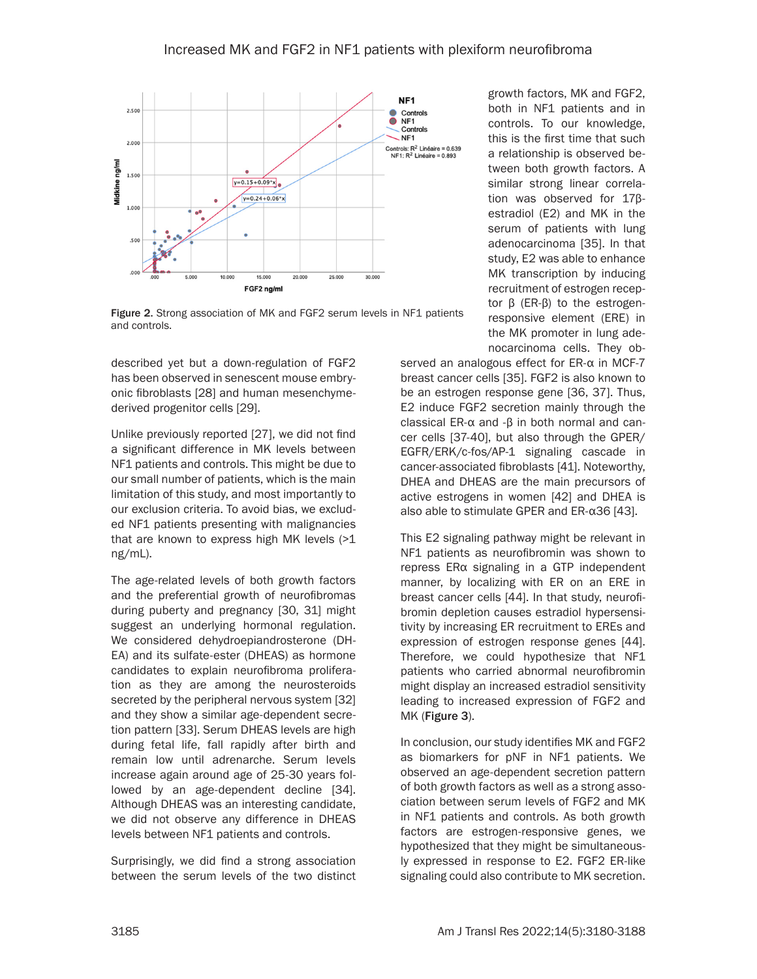

Figure 2. Strong association of MK and FGF2 serum levels in NF1 patients and controls.

described yet but a down-regulation of FGF2 has been observed in senescent mouse embryonic fibroblasts [28] and human mesenchymederived progenitor cells [29].

Unlike previously reported [27], we did not find a significant difference in MK levels between NF1 patients and controls. This might be due to our small number of patients, which is the main limitation of this study, and most importantly to our exclusion criteria. To avoid bias, we excluded NF1 patients presenting with malignancies that are known to express high MK levels (>1 ng/mL).

The age-related levels of both growth factors and the preferential growth of neurofibromas during puberty and pregnancy [30, 31] might suggest an underlying hormonal regulation. We considered dehydroepiandrosterone (DH-EA) and its sulfate-ester (DHEAS) as hormone candidates to explain neurofibroma proliferation as they are among the neurosteroids secreted by the peripheral nervous system [32] and they show a similar age-dependent secretion pattern [33]. Serum DHEAS levels are high during fetal life, fall rapidly after birth and remain low until adrenarche. Serum levels increase again around age of 25-30 years followed by an age-dependent decline [34]. Although DHEAS was an interesting candidate, we did not observe any difference in DHEAS levels between NF1 patients and controls.

Surprisingly, we did find a strong association between the serum levels of the two distinct

growth factors, MK and FGF2, both in NF1 patients and in controls. To our knowledge, this is the first time that such a relationship is observed between both growth factors. A similar strong linear correlation was observed for 17βestradiol (E2) and MK in the serum of patients with lung adenocarcinoma [35]. In that study, E2 was able to enhance MK transcription by inducing recruitment of estrogen receptor β (ER-β) to the estrogenresponsive element (ERE) in the MK promoter in lung adenocarcinoma cells. They ob-

served an analogous effect for ER-α in MCF-7 breast cancer cells [35]. FGF2 is also known to be an estrogen response gene [36, 37]. Thus, E2 induce FGF2 secretion mainly through the classical ER-α and -β in both normal and cancer cells [37-40], but also through the GPER/ EGFR/ERK/c-fos/AP-1 signaling cascade in cancer-associated fibroblasts [41]. Noteworthy, DHEA and DHEAS are the main precursors of active estrogens in women [42] and DHEA is also able to stimulate GPER and ER-α36 [43].

This E2 signaling pathway might be relevant in NF1 patients as neurofibromin was shown to repress ERα signaling in a GTP independent manner, by localizing with ER on an ERE in breast cancer cells [44]. In that study, neurofibromin depletion causes estradiol hypersensitivity by increasing ER recruitment to EREs and expression of estrogen response genes [44]. Therefore, we could hypothesize that NF1 patients who carried abnormal neurofibromin might display an increased estradiol sensitivity leading to increased expression of FGF2 and MK (Figure 3).

In conclusion, our study identifies MK and FGF2 as biomarkers for pNF in NF1 patients. We observed an age-dependent secretion pattern of both growth factors as well as a strong association between serum levels of FGF2 and MK in NF1 patients and controls. As both growth factors are estrogen-responsive genes, we hypothesized that they might be simultaneously expressed in response to E2. FGF2 ER-like signaling could also contribute to MK secretion.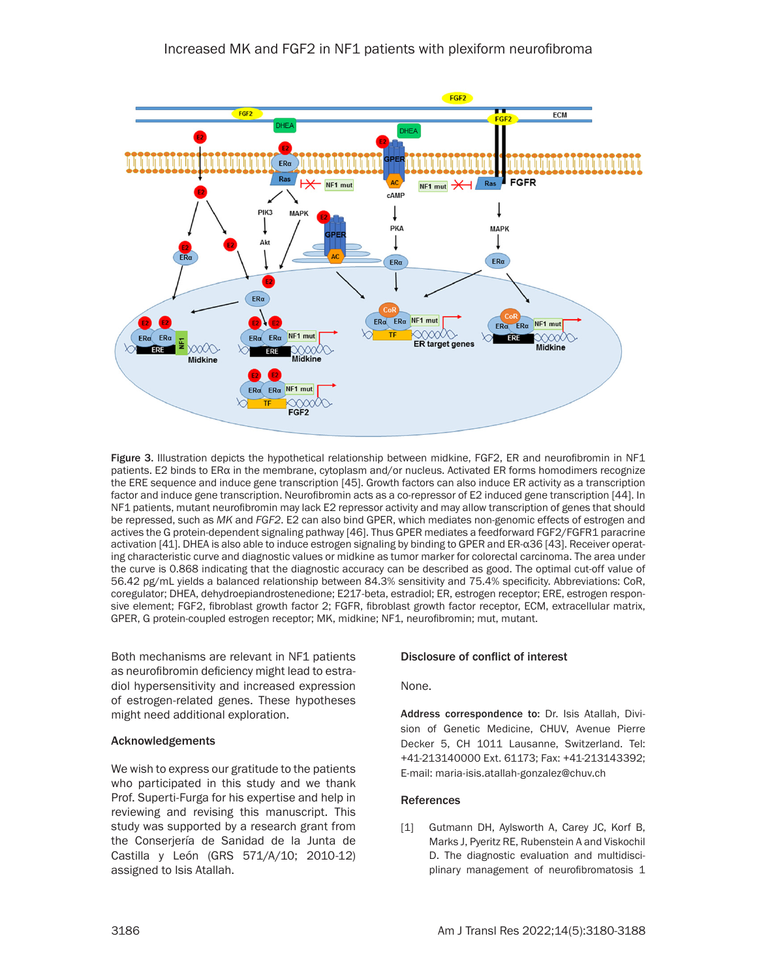

Figure 3. Illustration depicts the hypothetical relationship between midkine, FGF2, ER and neurofibromin in NF1 patients. E2 binds to ERα in the membrane, cytoplasm and/or nucleus. Activated ER forms homodimers recognize the ERE sequence and induce gene transcription [45]. Growth factors can also induce ER activity as a transcription factor and induce gene transcription. Neurofibromin acts as a co-repressor of E2 induced gene transcription [44]. In NF1 patients, mutant neurofibromin may lack E2 repressor activity and may allow transcription of genes that should be repressed, such as *MK* and *FGF2*. E2 can also bind GPER, which mediates non-genomic effects of estrogen and actives the G protein-dependent signaling pathway [46]. Thus GPER mediates a feedforward FGF2/FGFR1 paracrine activation [41]. DHEA is also able to induce estrogen signaling by binding to GPER and ER-α36 [43]. Receiver operating characteristic curve and diagnostic values or midkine as tumor marker for colorectal carcinoma. The area under the curve is 0.868 indicating that the diagnostic accuracy can be described as good. The optimal cut-off value of 56.42 pg/mL yields a balanced relationship between 84.3% sensitivity and 75.4% specificity. Abbreviations: CoR, coregulator; DHEA, dehydroepiandrostenedione; E217-beta, estradiol; ER, estrogen receptor; ERE, estrogen responsive element; FGF2, fibroblast growth factor 2; FGFR, fibroblast growth factor receptor, ECM, extracellular matrix, GPER, G protein-coupled estrogen receptor; MK, midkine; NF1, neurofibromin; mut, mutant.

Both mechanisms are relevant in NF1 patients as neurofibromin deficiency might lead to estradiol hypersensitivity and increased expression of estrogen-related genes. These hypotheses might need additional exploration.

#### Acknowledgements

We wish to express our gratitude to the patients who participated in this study and we thank Prof. Superti-Furga for his expertise and help in reviewing and revising this manuscript. This study was supported by a research grant from the Conserjería de Sanidad de la Junta de Castilla y León (GRS 571/A/10; 2010-12) assigned to Isis Atallah.

#### Disclosure of conflict of interest

None.

Address correspondence to: Dr. Isis Atallah, Division of Genetic Medicine, CHUV, Avenue Pierre Decker 5, CH 1011 Lausanne, Switzerland. Tel: +41-213140000 Ext. 61173; Fax: +41-213143392; E-mail: [maria-isis.atallah-gonzalez@chuv.ch](mailto:maria-isis.atallah-gonzalez@chuv.ch)

#### References

[1] Gutmann DH, Aylsworth A, Carey JC, Korf B, Marks J, Pyeritz RE, Rubenstein A and Viskochil D. The diagnostic evaluation and multidisciplinary management of neurofibromatosis 1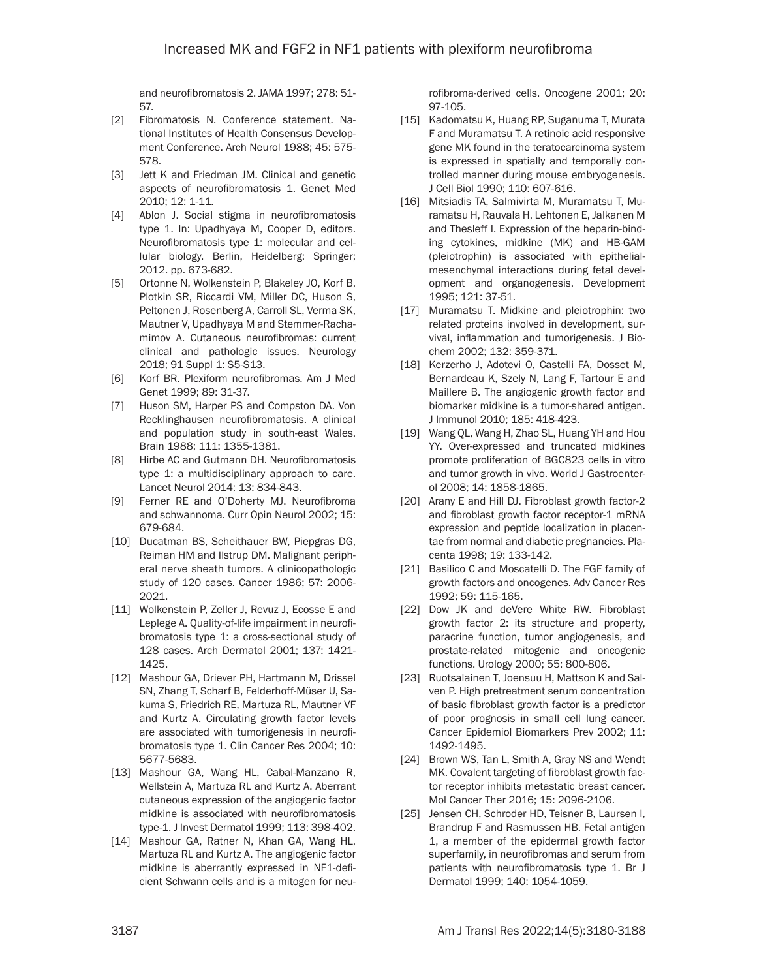and neurofibromatosis 2. JAMA 1997; 278: 51- 57.

- [2] Fibromatosis N. Conference statement. National Institutes of Health Consensus Development Conference. Arch Neurol 1988; 45: 575- 578.
- [3] Jett K and Friedman JM. Clinical and genetic aspects of neurofibromatosis 1. Genet Med 2010; 12: 1-11.
- [4] Ablon J. Social stigma in neurofibromatosis type 1. In: Upadhyaya M, Cooper D, editors. Neurofibromatosis type 1: molecular and cellular biology. Berlin, Heidelberg: Springer; 2012. pp. 673-682.
- [5] Ortonne N, Wolkenstein P, Blakeley JO, Korf B, Plotkin SR, Riccardi VM, Miller DC, Huson S, Peltonen J, Rosenberg A, Carroll SL, Verma SK, Mautner V, Upadhyaya M and Stemmer-Rachamimov A. Cutaneous neurofibromas: current clinical and pathologic issues. Neurology 2018; 91 Suppl 1: S5-S13.
- [6] Korf BR. Plexiform neurofibromas. Am J Med Genet 1999; 89: 31-37.
- [7] Huson SM, Harper PS and Compston DA. Von Recklinghausen neurofibromatosis. A clinical and population study in south-east Wales. Brain 1988; 111: 1355-1381.
- [8] Hirbe AC and Gutmann DH. Neurofibromatosis type 1: a multidisciplinary approach to care. Lancet Neurol 2014; 13: 834-843.
- [9] Ferner RE and O'Doherty MJ. Neurofibroma and schwannoma. Curr Opin Neurol 2002; 15: 679-684.
- [10] Ducatman BS, Scheithauer BW, Piepgras DG, Reiman HM and Ilstrup DM. Malignant peripheral nerve sheath tumors. A clinicopathologic study of 120 cases. Cancer 1986; 57: 2006- 2021.
- [11] Wolkenstein P, Zeller J, Revuz J, Ecosse E and Leplege A. Quality-of-life impairment in neurofibromatosis type 1: a cross-sectional study of 128 cases. Arch Dermatol 2001; 137: 1421- 1425.
- [12] Mashour GA, Driever PH, Hartmann M, Drissel SN, Zhang T, Scharf B, Felderhoff-Müser U, Sakuma S, Friedrich RE, Martuza RL, Mautner VF and Kurtz A. Circulating growth factor levels are associated with tumorigenesis in neurofibromatosis type 1. Clin Cancer Res 2004; 10: 5677-5683.
- [13] Mashour GA, Wang HL, Cabal-Manzano R, Wellstein A, Martuza RL and Kurtz A. Aberrant cutaneous expression of the angiogenic factor midkine is associated with neurofibromatosis type-1. J Invest Dermatol 1999; 113: 398-402.
- [14] Mashour GA, Ratner N, Khan GA, Wang HL, Martuza RL and Kurtz A. The angiogenic factor midkine is aberrantly expressed in NF1-deficient Schwann cells and is a mitogen for neu-

rofibroma-derived cells. Oncogene 2001; 20: 97-105.

- [15] Kadomatsu K, Huang RP, Suganuma T, Murata F and Muramatsu T. A retinoic acid responsive gene MK found in the teratocarcinoma system is expressed in spatially and temporally controlled manner during mouse embryogenesis. J Cell Biol 1990; 110: 607-616.
- [16] Mitsiadis TA, Salmivirta M, Muramatsu T, Muramatsu H, Rauvala H, Lehtonen E, Jalkanen M and Thesleff I. Expression of the heparin-binding cytokines, midkine (MK) and HB-GAM (pleiotrophin) is associated with epithelialmesenchymal interactions during fetal development and organogenesis. Development 1995; 121: 37-51.
- [17] Muramatsu T. Midkine and pleiotrophin: two related proteins involved in development, survival, inflammation and tumorigenesis. J Biochem 2002; 132: 359-371.
- [18] Kerzerho J, Adotevi O, Castelli FA, Dosset M, Bernardeau K, Szely N, Lang F, Tartour E and Maillere B. The angiogenic growth factor and biomarker midkine is a tumor-shared antigen. J Immunol 2010; 185: 418-423.
- [19] Wang QL, Wang H, Zhao SL, Huang YH and Hou YY. Over-expressed and truncated midkines promote proliferation of BGC823 cells in vitro and tumor growth in vivo. World J Gastroenterol 2008; 14: 1858-1865.
- [20] Arany E and Hill DJ. Fibroblast growth factor-2 and fibroblast growth factor receptor-1 mRNA expression and peptide localization in placentae from normal and diabetic pregnancies. Placenta 1998; 19: 133-142.
- [21] Basilico C and Moscatelli D. The FGF family of growth factors and oncogenes. Adv Cancer Res 1992; 59: 115-165.
- [22] Dow JK and deVere White RW. Fibroblast growth factor 2: its structure and property, paracrine function, tumor angiogenesis, and prostate-related mitogenic and oncogenic functions. Urology 2000; 55: 800-806.
- [23] Ruotsalainen T, Joensuu H, Mattson K and Salven P. High pretreatment serum concentration of basic fibroblast growth factor is a predictor of poor prognosis in small cell lung cancer. Cancer Epidemiol Biomarkers Prev 2002; 11: 1492-1495.
- [24] Brown WS, Tan L, Smith A, Gray NS and Wendt MK. Covalent targeting of fibroblast growth factor receptor inhibits metastatic breast cancer. Mol Cancer Ther 2016; 15: 2096-2106.
- [25] Jensen CH, Schroder HD, Teisner B, Laursen I, Brandrup F and Rasmussen HB. Fetal antigen 1, a member of the epidermal growth factor superfamily, in neurofibromas and serum from patients with neurofibromatosis type 1. Br J Dermatol 1999; 140: 1054-1059.